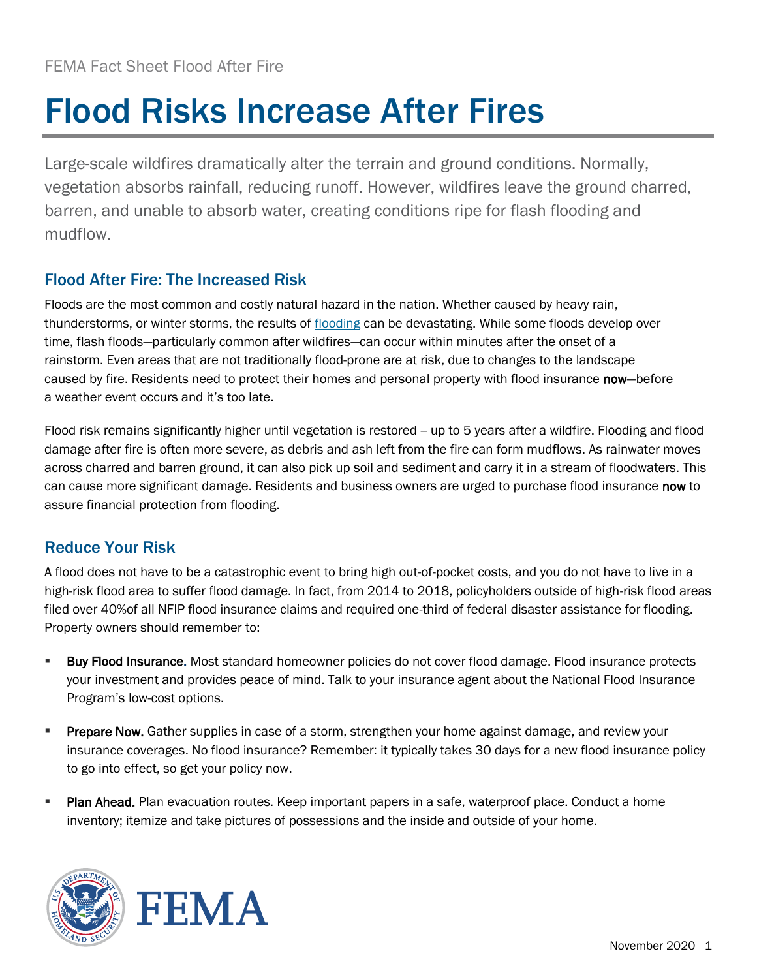## Flood Risks Increase After Fires

Large-scale wildfires dramatically alter the terrain and ground conditions. Normally, vegetation absorbs rainfall, reducing runoff. However, wildfires leave the ground charred, barren, and unable to absorb water, creating conditions ripe for flash flooding and mudflow.

## Flood After Fire: The Increased Risk

Floods are the most common and costly natural hazard in the nation. Whether caused by heavy rain, thunderstorms, or winter storms, the results of [flooding](https://www.floodsmart.gov/wildfire) can be devastating. While some floods develop over time, flash floods—particularly common after wildfires—can occur within minutes after the onset of a rainstorm. Even areas that are not traditionally flood-prone are at risk, due to changes to the landscape caused by fire. Residents need to protect their homes and personal property with flood insurance now-before a weather event occurs and it's too late.

Flood risk remains significantly higher until vegetation is restored -- up to 5 years after a wildfire. Flooding and flood damage after fire is often more severe, as debris and ash left from the fire can form mudflows. As rainwater moves across charred and barren ground, it can also pick up soil and sediment and carry it in a stream of floodwaters. This can cause more significant damage. Residents and business owners are urged to purchase flood insurance now to assure financial protection from flooding.

## Reduce Your Risk

A flood does not have to be a catastrophic event to bring high out-of-pocket costs, and you do not have to live in a high-risk flood area to suffer flood damage. In fact, from 2014 to 2018, policyholders outside of high-risk flood areas filed over 40%of all NFIP flood insurance claims and required one-third of federal disaster assistance for flooding. Property owners should remember to:

- **E** Buy Flood Insurance. Most standard homeowner policies do not cover flood damage. Flood insurance protects your investment and provides peace of mind. Talk to your insurance agent about the National Flood Insurance Program's low-cost options.
- **Prepare Now.** Gather supplies in case of a storm, strengthen your home against damage, and review your insurance coverages. No flood insurance? Remember: it typically takes 30 days for a new flood insurance policy to go into effect, so get your policy now.
- **Plan Ahead.** Plan evacuation routes. Keep important papers in a safe, waterproof place. Conduct a home inventory; itemize and take pictures of possessions and the inside and outside of your home.